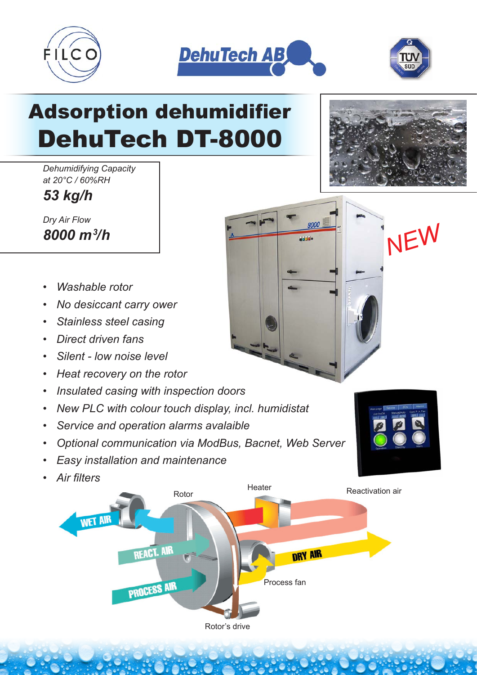





## Adsorption dehumidifier DehuTech DT-8000

*Dehumidifying Capacity at 20°C / 60%RH*

*53 kg/h*

*Dry Air Flow 8000 m3 /h*

- *Washable rotor*
- *No desiccant carry ower*
- *Stainless steel casing*
- *Direct driven fans*
- *Silent low noise level*
- *Heat recovery on the rotor*
- *Insulated casing with inspection doors*
- *New PLC with colour touch display, incl. humidistat*
- *Service and operation alarms avalaible*
- *Optional communication via ModBus, Bacnet, Web Server*
- *Easy installation and maintenance*
- *Air filters*





*NEW*

8000 abbide.